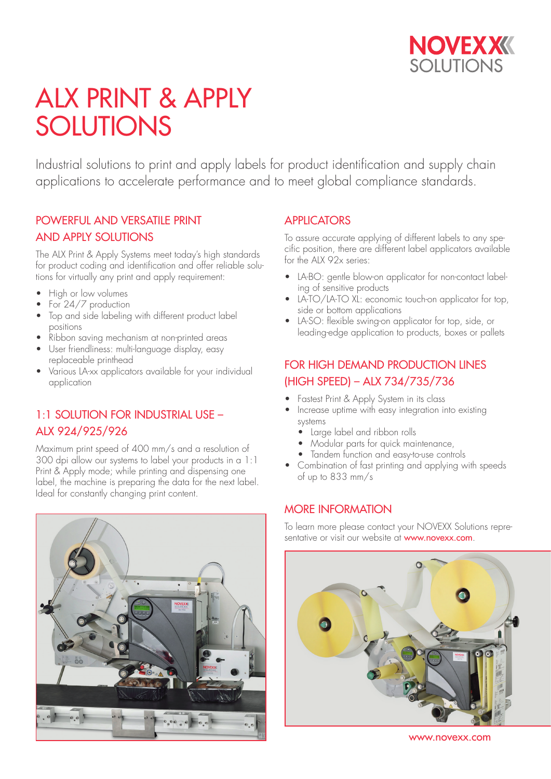

# ALX PRINT & APPLY SOLUTIONS

Industrial solutions to print and apply labels for product identification and supply chain applications to accelerate performance and to meet global compliance standards.

### POWERFUL AND VERSATILE PRINT AND APPLY SOLUTIONS

The ALX Print & Apply Systems meet today's high standards for product coding and identification and offer reliable solutions for virtually any print and apply requirement:

- High or low volumes
- For 24/7 production
- Top and side labeling with different product label positions
- Ribbon saving mechanism at non-printed areas
- User friendliness: multi-language display, easy replaceable printhead
- Various LA-xx applicators available for your individual application

### 1:1 SOLUTION FOR INDUSTRIAL USE – ALX 924/925/926

Maximum print speed of 400 mm/s and a resolution of 300 dpi allow our systems to label your products in a 1:1 Print & Apply mode; while printing and dispensing one label, the machine is preparing the data for the next label. Ideal for constantly changing print content.



#### **APPLICATORS**

To assure accurate applying of different labels to any specific position, there are different label applicators available for the ALX 92x series:

- LA-BO: gentle blow-on applicator for non-contact labeling of sensitive products
- LA-TO/LA-TO XL: economic touch-on applicator for top, side or bottom applications
- LA-SO: flexible swing-on applicator for top, side, or leading-edge application to products, boxes or pallets

### FOR HIGH DEMAND PRODUCTION LINES (HIGH SPEED) – ALX 734/735/736

- Fastest Print & Apply System in its class
- Increase uptime with easy integration into existing systems
	- Large label and ribbon rolls
	- Modular parts for quick maintenance,
	- Tandem function and easy-to-use controls
- Combination of fast printing and applying with speeds of up to 833 mm/s

#### MORE INFORMATION

To learn more please contact your NOVEXX Solutions representative or visit our website at www.novexx.com.



www.novexx.com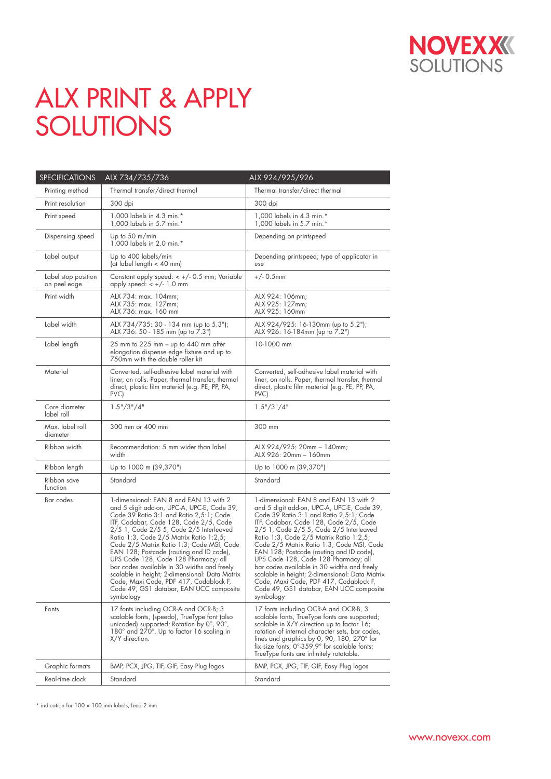

# ALX PRINT & APPLY SOLUTIONS

| SPECIFICATIONS                      | ALX 734/735/736                                                                                                                                                                                                                                                                                                                                                                                                                                                                                                                                                                                     | ALX 924/925/926                                                                                                                                                                                                                                                                                                                                                                                                                                                                                                                                                                                     |
|-------------------------------------|-----------------------------------------------------------------------------------------------------------------------------------------------------------------------------------------------------------------------------------------------------------------------------------------------------------------------------------------------------------------------------------------------------------------------------------------------------------------------------------------------------------------------------------------------------------------------------------------------------|-----------------------------------------------------------------------------------------------------------------------------------------------------------------------------------------------------------------------------------------------------------------------------------------------------------------------------------------------------------------------------------------------------------------------------------------------------------------------------------------------------------------------------------------------------------------------------------------------------|
| Printing method                     | Thermal transfer/direct thermal                                                                                                                                                                                                                                                                                                                                                                                                                                                                                                                                                                     | Thermal transfer/direct thermal                                                                                                                                                                                                                                                                                                                                                                                                                                                                                                                                                                     |
| Print resolution                    | 300 dpi                                                                                                                                                                                                                                                                                                                                                                                                                                                                                                                                                                                             | 300 dpi                                                                                                                                                                                                                                                                                                                                                                                                                                                                                                                                                                                             |
| Print speed                         | 1,000 labels in 4.3 min.*<br>1,000 labels in 5.7 min.*                                                                                                                                                                                                                                                                                                                                                                                                                                                                                                                                              | 1,000 labels in 4.3 min.*<br>1,000 labels in 5.7 min.*                                                                                                                                                                                                                                                                                                                                                                                                                                                                                                                                              |
| Dispensing speed                    | Up to $50 \text{ m/min}$<br>1,000 labels in 2.0 min.*                                                                                                                                                                                                                                                                                                                                                                                                                                                                                                                                               | Depending on printspeed                                                                                                                                                                                                                                                                                                                                                                                                                                                                                                                                                                             |
| Label output                        | Up to 400 labels/min<br>(at label length < 40 mm)                                                                                                                                                                                                                                                                                                                                                                                                                                                                                                                                                   | Depending printspeed; type of applicator in<br>use                                                                                                                                                                                                                                                                                                                                                                                                                                                                                                                                                  |
| Label stop position<br>on peel edge | Constant apply speed: $< +/- 0.5$ mm; Variable<br>apply speed: $< +/- 1.0$ mm                                                                                                                                                                                                                                                                                                                                                                                                                                                                                                                       | $+/- 0.5$ mm                                                                                                                                                                                                                                                                                                                                                                                                                                                                                                                                                                                        |
| Print width                         | ALX 734: max. 104mm;<br>ALX 735: max. 127mm;<br>ALX 736: max. 160 mm                                                                                                                                                                                                                                                                                                                                                                                                                                                                                                                                | ALX 924: 106mm;<br>ALX 925: 127mm:<br>ALX 925: 160mm                                                                                                                                                                                                                                                                                                                                                                                                                                                                                                                                                |
| Label width                         | ALX 734/735: 30 - 134 mm (up to 5.3");<br>ALX 736: 50 - 185 mm (up to 7.3")                                                                                                                                                                                                                                                                                                                                                                                                                                                                                                                         | ALX 924/925: 16-130mm (up to 5.2");<br>ALX 926: 16-184mm (up to 7.2")                                                                                                                                                                                                                                                                                                                                                                                                                                                                                                                               |
| Label length                        | 25 mm to 225 mm – up to 440 mm after<br>elongation dispense edge fixture and up to<br>750mm with the double roller kit                                                                                                                                                                                                                                                                                                                                                                                                                                                                              | 10-1000 mm                                                                                                                                                                                                                                                                                                                                                                                                                                                                                                                                                                                          |
| Material                            | Converted, self-adhesive label material with<br>liner, on rolls. Paper, thermal transfer, thermal<br>direct, plastic film material (e.g. PE, PP, PA,<br>PVC)                                                                                                                                                                                                                                                                                                                                                                                                                                        | Converted, self-adhesive label material with<br>liner, on rolls. Paper, thermal transfer, thermal<br>direct, plastic film material (e.g. PE, PP, PA,<br>PVC)                                                                                                                                                                                                                                                                                                                                                                                                                                        |
| Core diameter<br>label roll         | 1.5" / 3" / 4"                                                                                                                                                                                                                                                                                                                                                                                                                                                                                                                                                                                      | 1.5" / 3" / 4"                                                                                                                                                                                                                                                                                                                                                                                                                                                                                                                                                                                      |
| Max. label roll<br>diameter         | 300 mm or 400 mm                                                                                                                                                                                                                                                                                                                                                                                                                                                                                                                                                                                    | 300 mm                                                                                                                                                                                                                                                                                                                                                                                                                                                                                                                                                                                              |
| Ribbon width                        | Recommendation: 5 mm wider than label<br>width                                                                                                                                                                                                                                                                                                                                                                                                                                                                                                                                                      | ALX 924/925: 20mm - 140mm;<br>ALX 926: 20mm - 160mm                                                                                                                                                                                                                                                                                                                                                                                                                                                                                                                                                 |
| Ribbon length                       | Up to 1000 m (39,370")                                                                                                                                                                                                                                                                                                                                                                                                                                                                                                                                                                              | Up to 1000 m (39,370")                                                                                                                                                                                                                                                                                                                                                                                                                                                                                                                                                                              |
| Ribbon save<br>function             | Standard                                                                                                                                                                                                                                                                                                                                                                                                                                                                                                                                                                                            | Standard                                                                                                                                                                                                                                                                                                                                                                                                                                                                                                                                                                                            |
| Bar codes                           | 1-dimensional: EAN 8 and EAN 13 with 2<br>and 5 digit add-on, UPC-A, UPC-E, Code 39,<br>Code 39 Ratio 3:1 and Ratio 2,5:1; Code<br>ITF, Codabar, Code 128, Code 2/5, Code<br>2/5 1, Code 2/5 5, Code 2/5 Interleaved<br>Ratio 1:3, Code 2/5 Matrix Ratio 1:2,5;<br>Code 2/5 Matrix Ratio 1:3; Code MSI, Code<br>EAN 128; Postcode (routing and ID code),<br>UPS Code 128, Code 128 Pharmacy; all<br>bar codes available in 30 widths and freely<br>scalable in height; 2-dimensional: Data Matrix<br>Code, Maxi Code, PDF 417, Codablock F,<br>Code 49, GS1 databar, EAN UCC composite<br>symbology | 1-dimensional: EAN 8 and EAN 13 with 2<br>and 5 digit add-on, UPC-A, UPC-E, Code 39,<br>Code 39 Ratio 3:1 and Ratio 2,5:1; Code<br>ITF, Codabar, Code 128, Code 2/5, Code<br>2/5 1, Code 2/5 5, Code 2/5 Interleaved<br>Ratio 1:3, Code 2/5 Matrix Ratio 1:2,5;<br>Code 2/5 Matrix Ratio 1:3; Code MSI, Code<br>EAN 128; Postcode (routing and ID code),<br>UPS Code 128, Code 128 Pharmacy; all<br>bar codes available in 30 widths and freely<br>scalable in height; 2-dimensional: Data Matrix<br>Code, Maxi Code, PDF 417, Codablock F,<br>Code 49, GS1 databar, EAN UCC composite<br>symbology |
| Fonts                               | 17 fonts including OCR-A and OCR-B; 3<br>scalable fonts, (speedo), TrueType font (also<br>unicoded) supported; Rotation by $0^{\circ}$ , 90 $^{\circ}$ ,<br>180° and 270°. Up to factor 16 scaling in<br>X/Y direction.                                                                                                                                                                                                                                                                                                                                                                             | 17 fonts including OCR-A and OCR-B, 3<br>scalable fonts, TrueType fonts are supported;<br>scalable in X/Y direction up to factor 16;<br>rotation of internal character sets, bar codes,<br>lines and graphics by 0, 90, 180, 270° for<br>fix size fonts, 0°-359,9° for scalable fonts;<br>TrueType fonts are infinitely rotatable.                                                                                                                                                                                                                                                                  |
| Graphic formats                     | BMP, PCX, JPG, TIF, GIF, Easy Plug logos                                                                                                                                                                                                                                                                                                                                                                                                                                                                                                                                                            | BMP, PCX, JPG, TIF, GIF, Easy Plug logos                                                                                                                                                                                                                                                                                                                                                                                                                                                                                                                                                            |
| Real-time clock                     | Standard                                                                                                                                                                                                                                                                                                                                                                                                                                                                                                                                                                                            | Standard                                                                                                                                                                                                                                                                                                                                                                                                                                                                                                                                                                                            |

\* indication for 100 × 100 mm labels, feed 2 mm